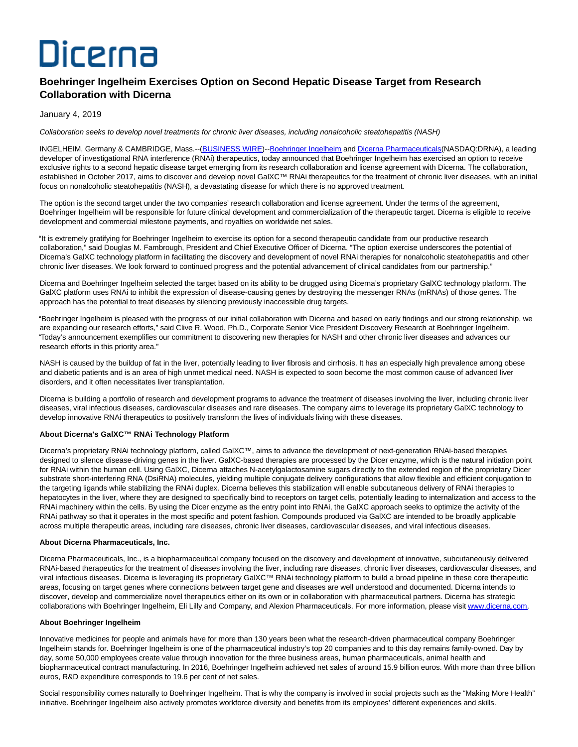# Dicerna

# **Boehringer Ingelheim Exercises Option on Second Hepatic Disease Target from Research Collaboration with Dicerna**

## January 4, 2019

Collaboration seeks to develop novel treatments for chronic liver diseases, including nonalcoholic steatohepatitis (NASH)

INGELHEIM, Germany & CAMBRIDGE, Mass.--[\(BUSINESS WIRE\)-](https://www.businesswire.com/)[-Boehringer Ingelheim a](https://cts.businesswire.com/ct/CT?id=smartlink&url=https%3A%2F%2Fwww.boehringer-ingelheim.com%2F&esheet=51920872&newsitemid=20190104005105&lan=en-US&anchor=Boehringer+Ingelheim&index=1&md5=2736e1fd91a33c27905d81093732a849)n[d Dicerna Pharmaceuticals\(N](https://cts.businesswire.com/ct/CT?id=smartlink&url=http%3A%2F%2Fwww.dicerna.com&esheet=51920872&newsitemid=20190104005105&lan=en-US&anchor=Dicerna+Pharmaceuticals&index=2&md5=72f188077c26c76e21b889994c5d9786)ASDAQ:DRNA), a leading developer of investigational RNA interference (RNAi) therapeutics, today announced that Boehringer Ingelheim has exercised an option to receive exclusive rights to a second hepatic disease target emerging from its research collaboration and license agreement with Dicerna. The collaboration, established in October 2017, aims to discover and develop novel GalXC™ RNAi therapeutics for the treatment of chronic liver diseases, with an initial focus on nonalcoholic steatohepatitis (NASH), a devastating disease for which there is no approved treatment.

The option is the second target under the two companies' research collaboration and license agreement. Under the terms of the agreement, Boehringer Ingelheim will be responsible for future clinical development and commercialization of the therapeutic target. Dicerna is eligible to receive development and commercial milestone payments, and royalties on worldwide net sales.

"It is extremely gratifying for Boehringer Ingelheim to exercise its option for a second therapeutic candidate from our productive research collaboration," said Douglas M. Fambrough, President and Chief Executive Officer of Dicerna. "The option exercise underscores the potential of Dicerna's GalXC technology platform in facilitating the discovery and development of novel RNAi therapies for nonalcoholic steatohepatitis and other chronic liver diseases. We look forward to continued progress and the potential advancement of clinical candidates from our partnership."

Dicerna and Boehringer Ingelheim selected the target based on its ability to be drugged using Dicerna's proprietary GalXC technology platform. The GalXC platform uses RNAi to inhibit the expression of disease-causing genes by destroying the messenger RNAs (mRNAs) of those genes. The approach has the potential to treat diseases by silencing previously inaccessible drug targets.

"Boehringer Ingelheim is pleased with the progress of our initial collaboration with Dicerna and based on early findings and our strong relationship, we are expanding our research efforts," said Clive R. Wood, Ph.D., Corporate Senior Vice President Discovery Research at Boehringer Ingelheim. "Today's announcement exemplifies our commitment to discovering new therapies for NASH and other chronic liver diseases and advances our research efforts in this priority area."

NASH is caused by the buildup of fat in the liver, potentially leading to liver fibrosis and cirrhosis. It has an especially high prevalence among obese and diabetic patients and is an area of high unmet medical need. NASH is expected to soon become the most common cause of advanced liver disorders, and it often necessitates liver transplantation.

Dicerna is building a portfolio of research and development programs to advance the treatment of diseases involving the liver, including chronic liver diseases, viral infectious diseases, cardiovascular diseases and rare diseases. The company aims to leverage its proprietary GalXC technology to develop innovative RNAi therapeutics to positively transform the lives of individuals living with these diseases.

#### **About Dicerna's GalXC™ RNAi Technology Platform**

Dicerna's proprietary RNAi technology platform, called GalXC™, aims to advance the development of next-generation RNAi-based therapies designed to silence disease-driving genes in the liver. GalXC-based therapies are processed by the Dicer enzyme, which is the natural initiation point for RNAi within the human cell. Using GalXC, Dicerna attaches N-acetylgalactosamine sugars directly to the extended region of the proprietary Dicer substrate short-interfering RNA (DsiRNA) molecules, yielding multiple conjugate delivery configurations that allow flexible and efficient conjugation to the targeting ligands while stabilizing the RNAi duplex. Dicerna believes this stabilization will enable subcutaneous delivery of RNAi therapies to hepatocytes in the liver, where they are designed to specifically bind to receptors on target cells, potentially leading to internalization and access to the RNAi machinery within the cells. By using the Dicer enzyme as the entry point into RNAi, the GalXC approach seeks to optimize the activity of the RNAi pathway so that it operates in the most specific and potent fashion. Compounds produced via GalXC are intended to be broadly applicable across multiple therapeutic areas, including rare diseases, chronic liver diseases, cardiovascular diseases, and viral infectious diseases.

#### **About Dicerna Pharmaceuticals, Inc.**

Dicerna Pharmaceuticals, Inc., is a biopharmaceutical company focused on the discovery and development of innovative, subcutaneously delivered RNAi-based therapeutics for the treatment of diseases involving the liver, including rare diseases, chronic liver diseases, cardiovascular diseases, and viral infectious diseases. Dicerna is leveraging its proprietary GalXC™ RNAi technology platform to build a broad pipeline in these core therapeutic areas, focusing on target genes where connections between target gene and diseases are well understood and documented. Dicerna intends to discover, develop and commercialize novel therapeutics either on its own or in collaboration with pharmaceutical partners. Dicerna has strategic collaborations with Boehringer Ingelheim, Eli Lilly and Company, and Alexion Pharmaceuticals. For more information, please visit [www.dicerna.com.](https://cts.businesswire.com/ct/CT?id=smartlink&url=http%3A%2F%2Fwww.dicerna.com&esheet=51920872&newsitemid=20190104005105&lan=en-US&anchor=www.dicerna.com&index=3&md5=c651f80b745de9700523eed7d946b84e)

#### **About Boehringer Ingelheim**

Innovative medicines for people and animals have for more than 130 years been what the research-driven pharmaceutical company Boehringer Ingelheim stands for. Boehringer Ingelheim is one of the pharmaceutical industry's top 20 companies and to this day remains family-owned. Day by day, some 50,000 employees create value through innovation for the three business areas, human pharmaceuticals, animal health and biopharmaceutical contract manufacturing. In 2016, Boehringer Ingelheim achieved net sales of around 15.9 billion euros. With more than three billion euros, R&D expenditure corresponds to 19.6 per cent of net sales.

Social responsibility comes naturally to Boehringer Ingelheim. That is why the company is involved in social projects such as the "Making More Health" initiative. Boehringer Ingelheim also actively promotes workforce diversity and benefits from its employees' different experiences and skills.